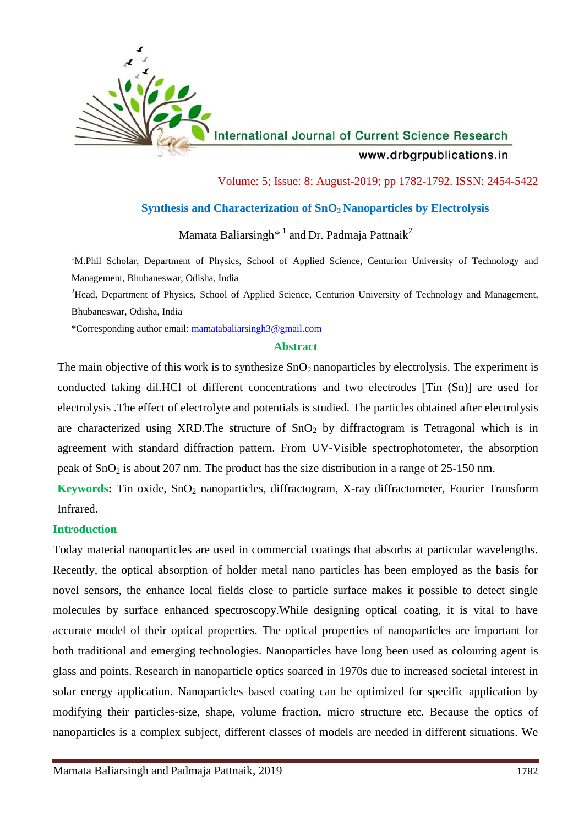

International Journal of Current Science Research

www.drbgrpublications.in

Volume: 5; Issue: 8; August-2019; pp 1782-1792. ISSN: 2454-5422

# **Synthesis and Characterization of SnO<sup>2</sup> Nanoparticles by Electrolysis**

Mamata Baliarsingh<sup>\* 1</sup> and Dr. Padmaja Pattnaik<sup>2</sup>

<sup>1</sup>M.Phil Scholar, Department of Physics, School of Applied Science, Centurion University of Technology and Management, Bhubaneswar, Odisha, India

<sup>2</sup>Head, Department of Physics, School of Applied Science, Centurion University of Technology and Management, Bhubaneswar, Odisha, India

\*Corresponding author email: mamatabaliarsingh3@gmail.com

## **Abstract**

The main objective of this work is to synthesize  $SnO<sub>2</sub>$  nanoparticles by electrolysis. The experiment is conducted taking dil.HCl of different concentrations and two electrodes [Tin (Sn)] are used for electrolysis .The effect of electrolyte and potentials is studied. The particles obtained after electrolysis are characterized using XRD. The structure of  $SnO<sub>2</sub>$  by diffractogram is Tetragonal which is in agreement with standard diffraction pattern. From UV-Visible spectrophotometer, the absorption peak of  $SnO<sub>2</sub>$  is about 207 nm. The product has the size distribution in a range of 25-150 nm.

**Keywords:** Tin oxide, SnO<sub>2</sub> nanoparticles, diffractogram, X-ray diffractometer, Fourier Transform Infrared.

## **Introduction**

Today material nanoparticles are used in commercial coatings that absorbs at particular wavelengths. Recently, the optical absorption of holder metal nano particles has been employed as the basis for novel sensors, the enhance local fields close to particle surface makes it possible to detect single molecules by surface enhanced spectroscopy.While designing optical coating, it is vital to have accurate model of their optical properties. The optical properties of nanoparticles are important for both traditional and emerging technologies. Nanoparticles have long been used as colouring agent is glass and points. Research in nanoparticle optics soarced in 1970s due to increased societal interest in solar energy application. Nanoparticles based coating can be optimized for specific application by modifying their particles-size, shape, volume fraction, micro structure etc. Because the optics of nanoparticles is a complex subject, different classes of models are needed in different situations. We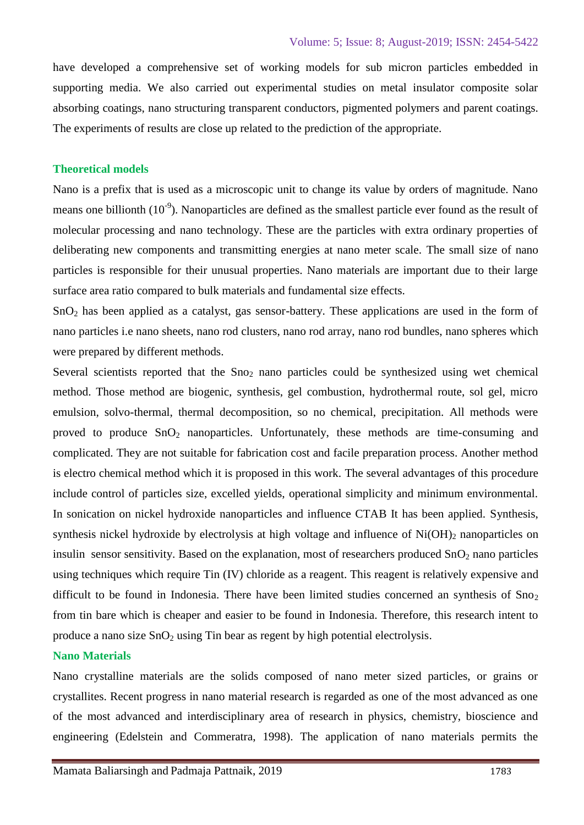have developed a comprehensive set of working models for sub micron particles embedded in supporting media. We also carried out experimental studies on metal insulator composite solar absorbing coatings, nano structuring transparent conductors, pigmented polymers and parent coatings. The experiments of results are close up related to the prediction of the appropriate.

#### **Theoretical models**

Nano is a prefix that is used as a microscopic unit to change its value by orders of magnitude. Nano means one billionth  $(10^{-9})$ . Nanoparticles are defined as the smallest particle ever found as the result of molecular processing and nano technology. These are the particles with extra ordinary properties of deliberating new components and transmitting energies at nano meter scale. The small size of nano particles is responsible for their unusual properties. Nano materials are important due to their large surface area ratio compared to bulk materials and fundamental size effects.

 $SnO<sub>2</sub>$  has been applied as a catalyst, gas sensor-battery. These applications are used in the form of nano particles i.e nano sheets, nano rod clusters, nano rod array, nano rod bundles, nano spheres which were prepared by different methods.

Several scientists reported that the  $Sno<sub>2</sub>$  nano particles could be synthesized using wet chemical method. Those method are biogenic, synthesis, gel combustion, hydrothermal route, sol gel, micro emulsion, solvo-thermal, thermal decomposition, so no chemical, precipitation. All methods were proved to produce  $SnO<sub>2</sub>$  nanoparticles. Unfortunately, these methods are time-consuming and complicated. They are not suitable for fabrication cost and facile preparation process. Another method is electro chemical method which it is proposed in this work. The several advantages of this procedure include control of particles size, excelled yields, operational simplicity and minimum environmental. In sonication on nickel hydroxide nanoparticles and influence CTAB It has been applied. Synthesis, synthesis nickel hydroxide by electrolysis at high voltage and influence of  $Ni(OH)_2$  nanoparticles on insulin sensor sensitivity. Based on the explanation, most of researchers produced  $SnO<sub>2</sub>$  nano particles using techniques which require Tin (IV) chloride as a reagent. This reagent is relatively expensive and difficult to be found in Indonesia. There have been limited studies concerned an synthesis of  $Sno<sub>2</sub>$ from tin bare which is cheaper and easier to be found in Indonesia. Therefore, this research intent to produce a nano size  $SnO<sub>2</sub>$  using Tin bear as regent by high potential electrolysis.

#### **Nano Materials**

Nano crystalline materials are the solids composed of nano meter sized particles, or grains or crystallites. Recent progress in nano material research is regarded as one of the most advanced as one of the most advanced and interdisciplinary area of research in physics, chemistry, bioscience and engineering (Edelstein and Commeratra, 1998). The application of nano materials permits the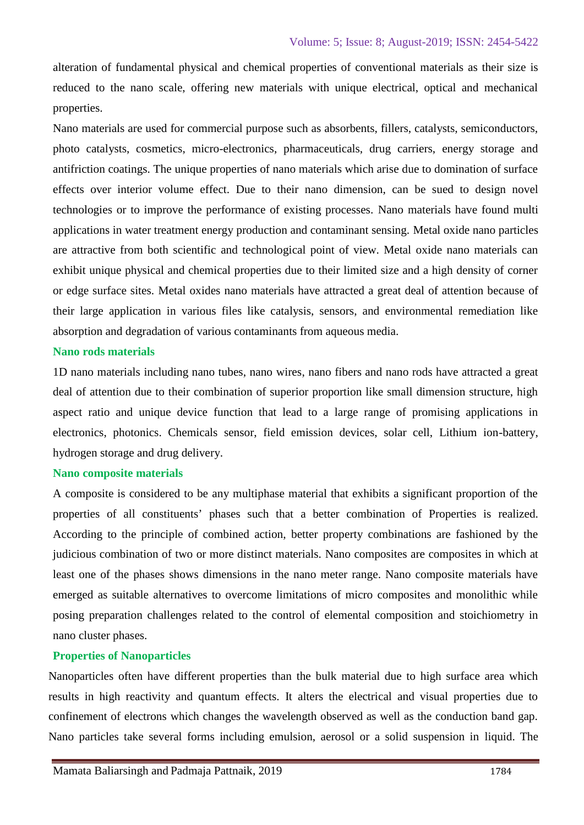alteration of fundamental physical and chemical properties of conventional materials as their size is reduced to the nano scale, offering new materials with unique electrical, optical and mechanical properties.

Nano materials are used for commercial purpose such as absorbents, fillers, catalysts, semiconductors, photo catalysts, cosmetics, micro-electronics, pharmaceuticals, drug carriers, energy storage and antifriction coatings. The unique properties of nano materials which arise due to domination of surface effects over interior volume effect. Due to their nano dimension, can be sued to design novel technologies or to improve the performance of existing processes. Nano materials have found multi applications in water treatment energy production and contaminant sensing. Metal oxide nano particles are attractive from both scientific and technological point of view. Metal oxide nano materials can exhibit unique physical and chemical properties due to their limited size and a high density of corner or edge surface sites. Metal oxides nano materials have attracted a great deal of attention because of their large application in various files like catalysis, sensors, and environmental remediation like absorption and degradation of various contaminants from aqueous media.

## **Nano rods materials**

1D nano materials including nano tubes, nano wires, nano fibers and nano rods have attracted a great deal of attention due to their combination of superior proportion like small dimension structure, high aspect ratio and unique device function that lead to a large range of promising applications in electronics, photonics. Chemicals sensor, field emission devices, solar cell, Lithium ion-battery, hydrogen storage and drug delivery.

## **Nano composite materials**

A composite is considered to be any multiphase material that exhibits a significant proportion of the properties of all constituents' phases such that a better combination of Properties is realized. According to the principle of combined action, better property combinations are fashioned by the judicious combination of two or more distinct materials. Nano composites are composites in which at least one of the phases shows dimensions in the nano meter range. Nano composite materials have emerged as suitable alternatives to overcome limitations of micro composites and monolithic while posing preparation challenges related to the control of elemental composition and stoichiometry in nano cluster phases.

## **Properties of Nanoparticles**

Nanoparticles often have different properties than the bulk material due to high surface area which results in high reactivity and quantum effects. It alters the electrical and visual properties due to confinement of electrons which changes the wavelength observed as well as the conduction band gap. Nano particles take several forms including emulsion, aerosol or a solid suspension in liquid. The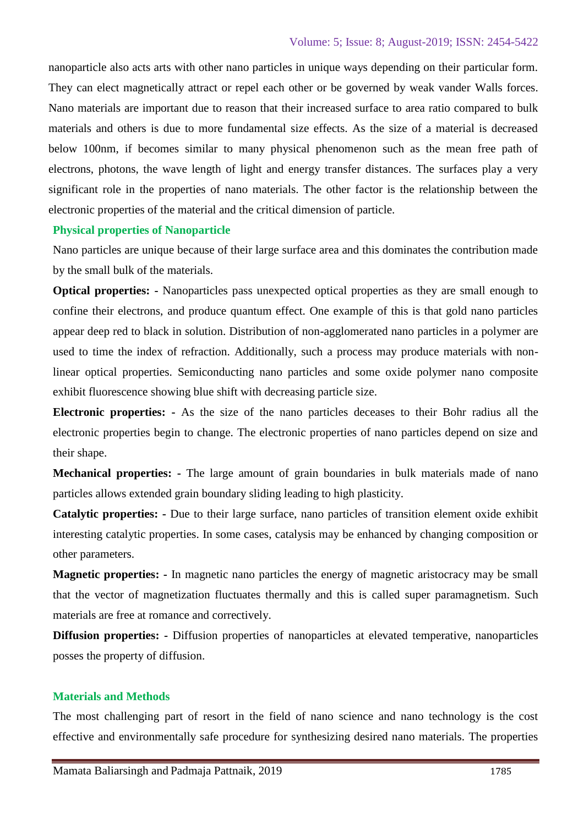nanoparticle also acts arts with other nano particles in unique ways depending on their particular form. They can elect magnetically attract or repel each other or be governed by weak vander Walls forces. Nano materials are important due to reason that their increased surface to area ratio compared to bulk materials and others is due to more fundamental size effects. As the size of a material is decreased below 100nm, if becomes similar to many physical phenomenon such as the mean free path of electrons, photons, the wave length of light and energy transfer distances. The surfaces play a very significant role in the properties of nano materials. The other factor is the relationship between the electronic properties of the material and the critical dimension of particle.

#### **Physical properties of Nanoparticle**

Nano particles are unique because of their large surface area and this dominates the contribution made by the small bulk of the materials.

**Optical properties: -** Nanoparticles pass unexpected optical properties as they are small enough to confine their electrons, and produce quantum effect. One example of this is that gold nano particles appear deep red to black in solution. Distribution of non-agglomerated nano particles in a polymer are used to time the index of refraction. Additionally, such a process may produce materials with nonlinear optical properties. Semiconducting nano particles and some oxide polymer nano composite exhibit fluorescence showing blue shift with decreasing particle size.

**Electronic properties: -** As the size of the nano particles deceases to their Bohr radius all the electronic properties begin to change. The electronic properties of nano particles depend on size and their shape.

**Mechanical properties: -** The large amount of grain boundaries in bulk materials made of nano particles allows extended grain boundary sliding leading to high plasticity.

**Catalytic properties: -** Due to their large surface, nano particles of transition element oxide exhibit interesting catalytic properties. In some cases, catalysis may be enhanced by changing composition or other parameters.

**Magnetic properties: -** In magnetic nano particles the energy of magnetic aristocracy may be small that the vector of magnetization fluctuates thermally and this is called super paramagnetism. Such materials are free at romance and correctively.

**Diffusion properties: -** Diffusion properties of nanoparticles at elevated temperative, nanoparticles posses the property of diffusion.

## **Materials and Methods**

The most challenging part of resort in the field of nano science and nano technology is the cost effective and environmentally safe procedure for synthesizing desired nano materials. The properties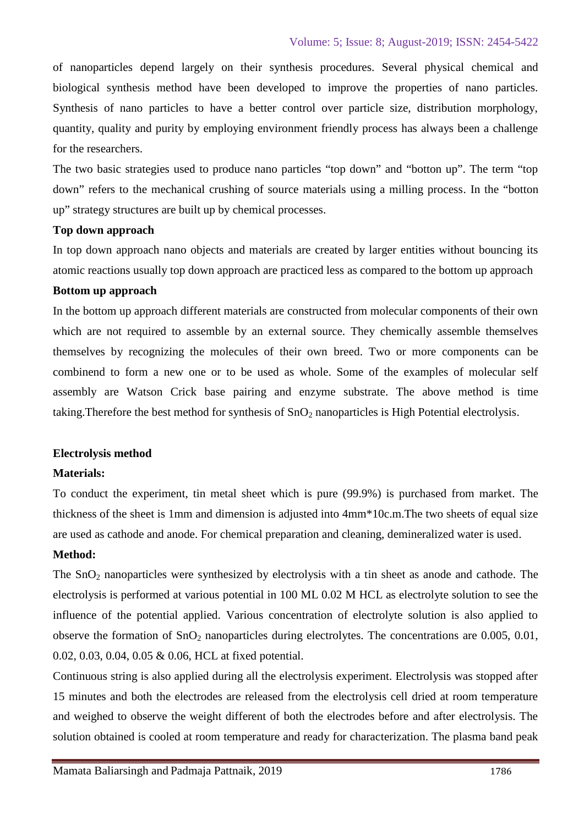of nanoparticles depend largely on their synthesis procedures. Several physical chemical and biological synthesis method have been developed to improve the properties of nano particles. Synthesis of nano particles to have a better control over particle size, distribution morphology, quantity, quality and purity by employing environment friendly process has always been a challenge for the researchers.

The two basic strategies used to produce nano particles "top down" and "botton up". The term "top down" refers to the mechanical crushing of source materials using a milling process. In the "botton up" strategy structures are built up by chemical processes.

#### **Top down approach**

In top down approach nano objects and materials are created by larger entities without bouncing its atomic reactions usually top down approach are practiced less as compared to the bottom up approach

#### **Bottom up approach**

In the bottom up approach different materials are constructed from molecular components of their own which are not required to assemble by an external source. They chemically assemble themselves themselves by recognizing the molecules of their own breed. Two or more components can be combinend to form a new one or to be used as whole. Some of the examples of molecular self assembly are Watson Crick base pairing and enzyme substrate. The above method is time taking. Therefore the best method for synthesis of  $SnO<sub>2</sub>$  nanoparticles is High Potential electrolysis.

## **Electrolysis method**

## **Materials:**

To conduct the experiment, tin metal sheet which is pure (99.9%) is purchased from market. The thickness of the sheet is 1mm and dimension is adjusted into 4mm\*10c.m.The two sheets of equal size are used as cathode and anode. For chemical preparation and cleaning, demineralized water is used.

## **Method:**

The  $SnO<sub>2</sub>$  nanoparticles were synthesized by electrolysis with a tin sheet as anode and cathode. The electrolysis is performed at various potential in 100 ML 0.02 M HCL as electrolyte solution to see the influence of the potential applied. Various concentration of electrolyte solution is also applied to observe the formation of  $SnO<sub>2</sub>$  nanoparticles during electrolytes. The concentrations are 0.005, 0.01, 0.02, 0.03, 0.04, 0.05 & 0.06, HCL at fixed potential.

Continuous string is also applied during all the electrolysis experiment. Electrolysis was stopped after 15 minutes and both the electrodes are released from the electrolysis cell dried at room temperature and weighed to observe the weight different of both the electrodes before and after electrolysis. The solution obtained is cooled at room temperature and ready for characterization. The plasma band peak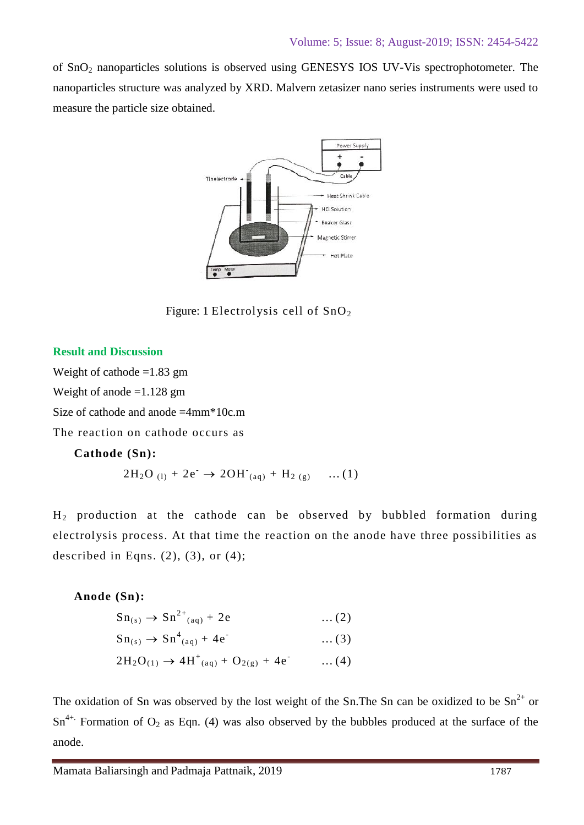of SnO<sup>2</sup> nanoparticles solutions is observed using GENESYS IOS UV-Vis spectrophotometer. The nanoparticles structure was analyzed by XRD. Malvern zetasizer nano series instruments were used to measure the particle size obtained.



Figure: 1 Electrolysis cell of  $SnO<sub>2</sub>$ 

## **Result and Discussion**

Weight of cathode  $=1.83$  gm

Weight of anode =1.128 gm

Size of cathode and anode =4mm\*10c.m

The reaction on cathode occurs as

## **Cathode (Sn):**

on cathode occurs as  
\n(Sn):  
\n
$$
2H_2O_{(1)} + 2e^- \rightarrow 2OH_{(aq)} + H_{2(g)} \dots (1)
$$

H<sup>2</sup> production at the cathode can be observed by bubbled formation during electrolysis process. At that time the reaction on the anode have three possibilities as described in Eqns.  $(2)$ ,  $(3)$ , or  $(4)$ ;

## **Anode (Sn):**

**(Sn):**  
\n
$$
Sn_{(s)} \to Sn^{2+}_{(aq)} + 2e
$$
 ... (2)  
\n $S = S^{4} + 4e^{2} + 4e^{2}$  ... (2)

$$
Sn_{(s)} → Sn2+(aq) + 2e ... (2)\nSn(s) → Sn4(aq) + 4e- ... (3)\n2H2O(1) → 4H+(aq) + O2(g) + 4e- ... (4)
$$

$$
2H_2O_{(1)} \to 4H^+_{(aq)} + O_{2(g)} + 4e^- \qquad \dots (4)
$$

The oxidation of Sn was observed by the lost weight of the Sn. The Sn can be oxidized to be  $Sn^{2+}$  or  $Sn^{4+}$ . Formation of  $O_2$  as Eqn. (4) was also observed by the bubbles produced at the surface of the anode.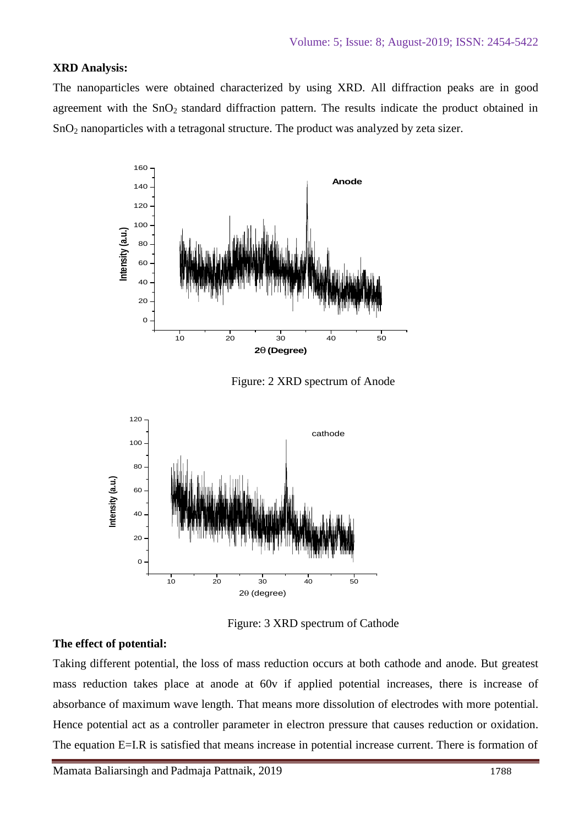## **XRD Analysis:**

The nanoparticles were obtained characterized by using XRD. All diffraction peaks are in good agreement with the SnO<sub>2</sub> standard diffraction pattern. The results indicate the product obtained in SnO<sup>2</sup> nanoparticles with a tetragonal structure. The product was analyzed by zeta sizer.



Figure: 2 XRD spectrum of Anode



Figure: 3 XRD spectrum of Cathode

#### **The effect of potential:**

Taking different potential, the loss of mass reduction occurs at both cathode and anode. But greatest mass reduction takes place at anode at 60v if applied potential increases, there is increase of absorbance of maximum wave length. That means more dissolution of electrodes with more potential. Hence potential act as a controller parameter in electron pressure that causes reduction or oxidation. The equation E=I.R is satisfied that means increase in potential increase current. There is formation of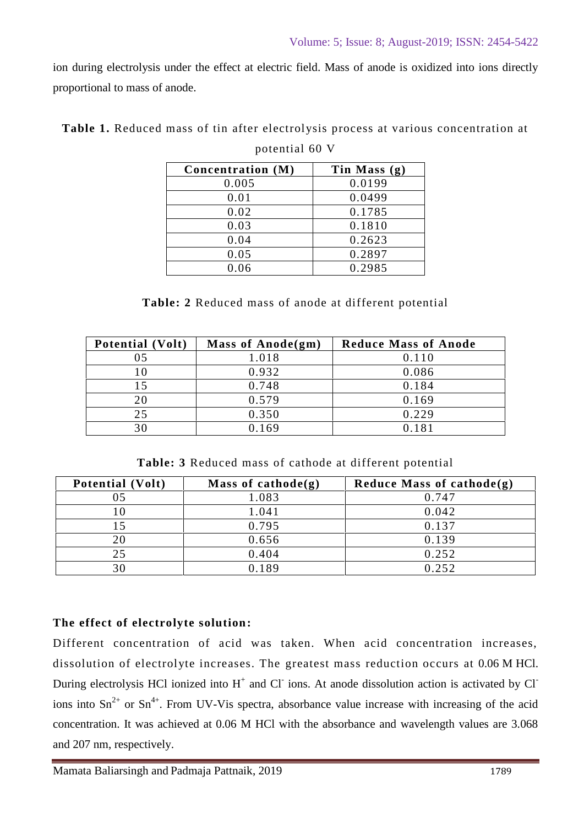ion during electrolysis under the effect at electric field. Mass of anode is oxidized into ions directly proportional to mass of anode.

| Concentration (M) | Tin Mass $(g)$ |
|-------------------|----------------|
| 0.005             | 0.0199         |
| 0.01              | 0.0499         |
| 0.02              | 0.1785         |
| 0.03              | 0.1810         |
| 0.04              | 0.2623         |
| 0.05              | 0.2897         |
| 0.06              | 0.2985         |

| Table 1. Reduced mass of tin after electrolysis process at various concentration at |  |
|-------------------------------------------------------------------------------------|--|
|-------------------------------------------------------------------------------------|--|

|  |  | potential 60 V |
|--|--|----------------|
|--|--|----------------|

|  |  |  | <b>Table: 2</b> Reduced mass of anode at different potential |  |
|--|--|--|--------------------------------------------------------------|--|
|  |  |  |                                                              |  |

| <b>Potential (Volt)</b> | Mass of $Anode(gm)$ | <b>Reduce Mass of Anode</b> |
|-------------------------|---------------------|-----------------------------|
|                         | 1.018               | 0.110                       |
| 10                      | 0.932               | 0.086                       |
| 15                      | 0.748               | 0.184                       |
| 20                      | 0.579               | 0.169                       |
| 25                      | 0.350               | 0.229                       |
|                         | 0.169               | 0.181                       |

**Table: 3** Reduced mass of cathode at different potential

| Potential (Volt) | Mass of cathode $(g)$ | Reduce Mass of cathode $(g)$ |
|------------------|-----------------------|------------------------------|
|                  | 1.083                 | 0.747                        |
|                  | 1.041                 | 0.042                        |
|                  | 0.795                 | 0.137                        |
| 20               | 0.656                 | 0.139                        |
| 25               | 0.404                 | 0.252                        |
| 30               | 0.189                 | 0.252                        |

# **The effect of electrolyte solution:**

Different concentration of acid was taken. When acid concentration increases, dissolution of electrolyte increases. The greatest mass reduction occurs at 0.06 M HCl. During electrolysis HCl ionized into  $H^+$  and Cl ions. At anode dissolution action is activated by Cl ions into  $\text{Sn}^{2+}$  or  $\text{Sn}^{4+}$ . From UV-Vis spectra, absorbance value increase with increasing of the acid concentration. It was achieved at 0.06 M HCl with the absorbance and wavelength values are 3.068 and 207 nm, respectively.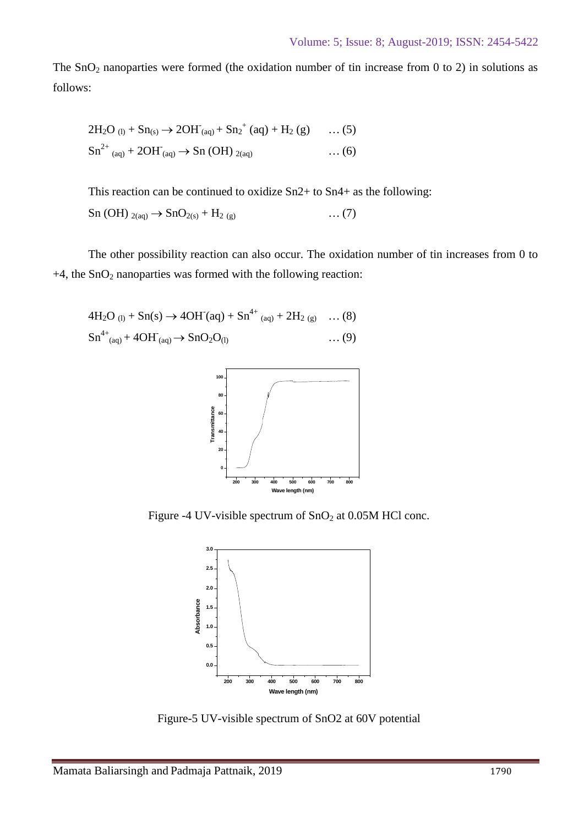The  $SnO<sub>2</sub>$  nanoparties were formed (the oxidation number of tin increase from 0 to 2) in solutions as follows:

$$
2H_2O_{(1)} + Sn_{(s)} \to 2OH_{(aq)} + Sn_2^+(aq) + H_2(g) \dots (5)
$$
  
\n
$$
Sn^{2+}_{(aq)} + 2OH_{(aq)} \to Sn (OH)_{2(aq)} \dots (6)
$$

This reaction can be continued to oxidize Sn2+ to Sn4+ as the following:

$$
\text{Sn (OH)}_{2(aq)} \rightarrow \text{SnO}_{2(s)} + \text{H}_{2(g)} \tag{7}
$$

The other possibility reaction can also occur. The oxidation number of tin increases from 0 to  $+4$ , the SnO<sub>2</sub> nanoparties was formed with the following reaction:

$$
4H_2O_{(1)} + Sn(s) \rightarrow 4OH'(aq) + Sn^{4+}{}_{(aq)} + 2H_2{}_{(g)} \dots (8)
$$
  
\n
$$
Sn^{4+}{}_{(aq)} + 4OH'(aq) \rightarrow SnO_2O_{(1)} \dots (9) \dots (9)
$$



Figure -4 UV-visible spectrum of  $SnO<sub>2</sub>$  at 0.05M HCl conc.



Figure-5 UV-visible spectrum of SnO2 at 60V potential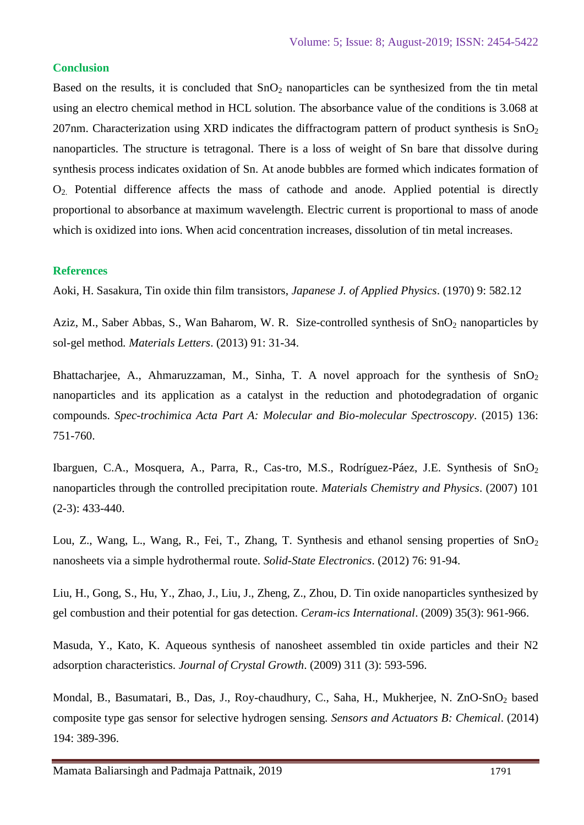#### **Conclusion**

Based on the results, it is concluded that  $SnO<sub>2</sub>$  nanoparticles can be synthesized from the tin metal using an electro chemical method in HCL solution. The absorbance value of the conditions is 3.068 at 207nm. Characterization using XRD indicates the diffractogram pattern of product synthesis is  $SnO<sub>2</sub>$ nanoparticles. The structure is tetragonal. There is a loss of weight of Sn bare that dissolve during synthesis process indicates oxidation of Sn. At anode bubbles are formed which indicates formation of O2. Potential difference affects the mass of cathode and anode. Applied potential is directly proportional to absorbance at maximum wavelength. Electric current is proportional to mass of anode which is oxidized into ions. When acid concentration increases, dissolution of tin metal increases.

#### **References**

Aoki, H. Sasakura, Tin oxide thin film transistors, *Japanese J. of Applied Physics*. (1970) 9: 582.12

Aziz, M., Saber Abbas, S., Wan Baharom, W. R. Size-controlled synthesis of SnO<sub>2</sub> nanoparticles by sol-gel method*. Materials Letters*. (2013) 91: 31-34.

Bhattacharjee, A., Ahmaruzzaman, M., Sinha, T. A novel approach for the synthesis of  $SnO<sub>2</sub>$ nanoparticles and its application as a catalyst in the reduction and photodegradation of organic compounds. *Spec-trochimica Acta Part A: Molecular and Bio-molecular Spectroscopy*. (2015) 136: 751-760.

Ibarguen, C.A., Mosquera, A., Parra, R., Cas-tro, M.S., Rodríguez-Páez, J.E. Synthesis of SnO<sub>2</sub> nanoparticles through the controlled precipitation route. *Materials Chemistry and Physics*. (2007) 101 (2-3): 433-440.

Lou, Z., Wang, L., Wang, R., Fei, T., Zhang, T. Synthesis and ethanol sensing properties of SnO<sub>2</sub> nanosheets via a simple hydrothermal route. *Solid-State Electronics*. (2012) 76: 91-94.

Liu, H., Gong, S., Hu, Y., Zhao, J., Liu, J., Zheng, Z., Zhou, D. Tin oxide nanoparticles synthesized by gel combustion and their potential for gas detection. *Ceram-ics International*. (2009) 35(3): 961-966.

Masuda, Y., Kato, K. Aqueous synthesis of nanosheet assembled tin oxide particles and their N2 adsorption characteristics. *Journal of Crystal Growth*. (2009) 311 (3): 593-596.

Mondal, B., Basumatari, B., Das, J., Roy-chaudhury, C., Saha, H., Mukherjee, N. ZnO-SnO<sub>2</sub> based composite type gas sensor for selective hydrogen sensing. *Sensors and Actuators B: Chemical*. (2014) 194: 389-396.